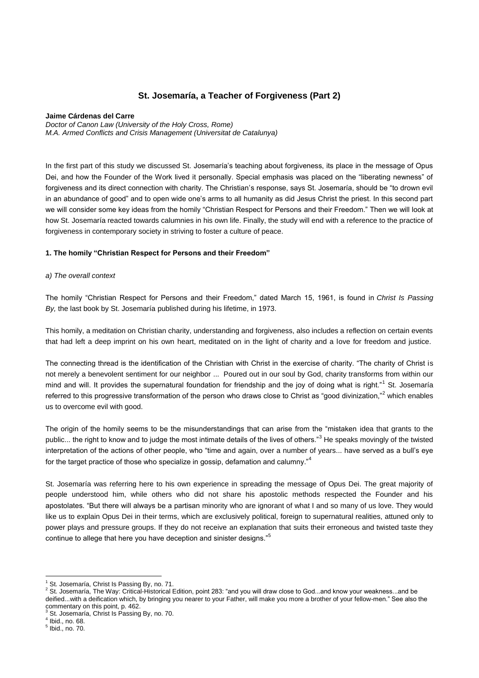# **St. Josemaría, a Teacher of Forgiveness (Part 2)**

#### **Jaime Cárdenas del Carre**

*Doctor of Canon Law (University of the Holy Cross, Rome) M.A. Armed Conflicts and Crisis Management (Universitat de Catalunya)*

In the first part of this study we discussed St. Josemaría's teaching about forgiveness, its place in the message of Opus Dei, and how the Founder of the Work lived it personally. Special emphasis was placed on the "liberating newness" of forgiveness and its direct connection with charity. The Christian's response, says St. Josemaría, should be "to drown evil in an abundance of good" and to open wide one's arms to all humanity as did Jesus Christ the priest. In this second part we will consider some key ideas from the homily "Christian Respect for Persons and their Freedom." Then we will look at how St. Josemaría reacted towards calumnies in his own life. Finally, the study will end with a reference to the practice of forgiveness in contemporary society in striving to foster a culture of peace.

#### **1. The homily "Christian Respect for Persons and their Freedom"**

#### *a) The overall context*

The homily "Christian Respect for Persons and their Freedom," dated March 15, 1961, is found in *Christ Is Passing By,* the last book by St. Josemaría published during his lifetime, in 1973.

This homily, a meditation on Christian charity, understanding and forgiveness, also includes a reflection on certain events that had left a deep imprint on his own heart, meditated on in the light of charity and a love for freedom and justice.

The connecting thread is the identification of the Christian with Christ in the exercise of charity. "The charity of Christ is not merely a benevolent sentiment for our neighbor ... Poured out in our soul by God, charity transforms from within our mind and will. It provides the supernatural foundation for friendship and the joy of doing what is right."<sup>1</sup> St. Josemaría referred to this progressive transformation of the person who draws close to Christ as "good divinization."<sup>2</sup> which enables us to overcome evil with good.

The origin of the homily seems to be the misunderstandings that can arise from the "mistaken idea that grants to the public... the right to know and to judge the most intimate details of the lives of others."<sup>3</sup> He speaks movingly of the twisted interpretation of the actions of other people, who "time and again, over a number of years... have served as a bull's eye for the target practice of those who specialize in gossip, defamation and calumny."<sup>4</sup>

St. Josemaría was referring here to his own experience in spreading the message of Opus Dei. The great majority of people understood him, while others who did not share his apostolic methods respected the Founder and his apostolates. "But there will always be a partisan minority who are ignorant of what I and so many of us love. They would like us to explain Opus Dei in their terms, which are exclusively political, foreign to supernatural realities, attuned only to power plays and pressure groups. If they do not receive an explanation that suits their erroneous and twisted taste they continue to allege that here you have deception and sinister designs."<sup>5</sup>

 $\overline{a}$ St. Josemaría, Christ Is Passing By, no. 71.

<sup>2</sup> St. Josemaría, The Way: Critical-Historical Edition, point 283: "and you will draw close to God...and know your weakness...and be deified...with a deification which, by bringing you nearer to your Father, will make you more a brother of your fellow-men." See also the commentary on this point, p. 462.

St. Josemaría, Christ Is Passing By, no. 70.

<sup>4</sup> Ibid., no. 68.

<sup>5</sup> Ibid., no. 70.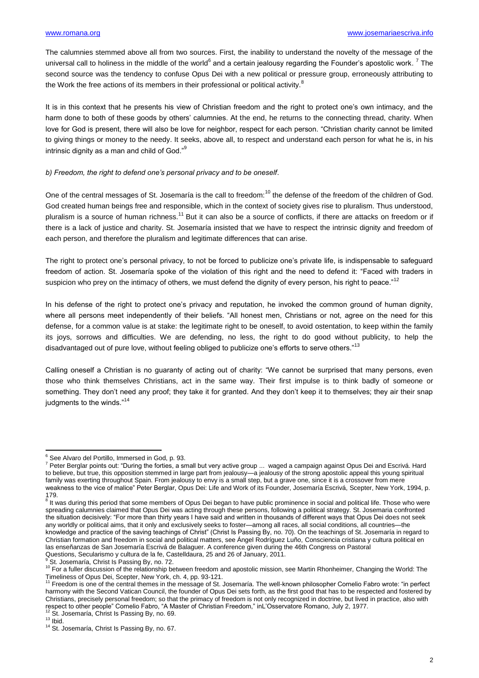The calumnies stemmed above all from two sources. First, the inability to understand the novelty of the message of the universal call to holiness in the middle of the world<sup>6</sup> and a certain jealousy regarding the Founder's apostolic work. <sup>7</sup> The second source was the tendency to confuse Opus Dei with a new political or pressure group, erroneously attributing to the Work the free actions of its members in their professional or political activity. $8$ 

It is in this context that he presents his view of Christian freedom and the right to protect one's own intimacy, and the harm done to both of these goods by others' calumnies. At the end, he returns to the connecting thread, charity. When love for God is present, there will also be love for neighbor, respect for each person. "Christian charity cannot be limited to giving things or money to the needy. It seeks, above all, to respect and understand each person for what he is, in his intrinsic dignity as a man and child of God."<sup>9</sup>

## *b) Freedom, the right to defend one's personal privacy and to be oneself*.

One of the central messages of St. Josemaría is the call to freedom:<sup>10</sup> the defense of the freedom of the children of God. God created human beings free and responsible, which in the context of society gives rise to pluralism. Thus understood, pluralism is a source of human richness.<sup>11</sup> But it can also be a source of conflicts, if there are attacks on freedom or if there is a lack of justice and charity. St. Josemaría insisted that we have to respect the intrinsic dignity and freedom of each person, and therefore the pluralism and legitimate differences that can arise.

The right to protect one's personal privacy, to not be forced to publicize one's private life, is indispensable to safeguard freedom of action. St. Josemaría spoke of the violation of this right and the need to defend it: "Faced with traders in suspicion who prey on the intimacy of others, we must defend the dignity of every person, his right to peace."<sup>12</sup>

In his defense of the right to protect one's privacy and reputation, he invoked the common ground of human dignity, where all persons meet independently of their beliefs. "All honest men, Christians or not, agree on the need for this defense, for a common value is at stake: the legitimate right to be oneself, to avoid ostentation, to keep within the family its joys, sorrows and difficulties. We are defending, no less, the right to do good without publicity, to help the disadvantaged out of pure love, without feeling obliged to publicize one's efforts to serve others."<sup>13</sup>

Calling oneself a Christian is no guaranty of acting out of charity: "We cannot be surprised that many persons, even those who think themselves Christians, act in the same way. Their first impulse is to think badly of someone or something. They don't need any proof; they take it for granted. And they don't keep it to themselves; they air their snap judgments to the winds."<sup>14</sup>

<sup>1</sup> <sup>6</sup> See Alvaro del Portillo, Immersed in God, p. 93.

<sup>7</sup> Peter Berglar points out: "During the forties, a small but very active group ... waged a campaign against Opus Dei and Escrivá. Hard to believe, but true, this opposition stemmed in large part from jealousy—a jealousy of the strong apostolic appeal this young spiritual family was exerting throughout Spain. From jealousy to envy is a small step, but a grave one, since it is a crossover from mere weakness to the vice of malice" Peter Berglar, Opus Dei: Life and Work of its Founder, Josemaría Escrivá, Scepter, New York, 1994, p. 179.

<sup>&</sup>lt;sup>8</sup> It was during this period that some members of Opus Dei began to have public prominence in social and political life. Those who were spreading calumnies claimed that Opus Dei was acting through these persons, following a political strategy. St. Josemaria confronted the situation decisively: "For more than thirty years I have said and written in thousands of different ways that Opus Dei does not seek any worldly or political aims, that it only and exclusively seeks to foster—among all races, all social conditions, all countries—the knowledge and practice of the saving teachings of Christ" (Christ Is Passing By, no. 70). On the teachings of St. Josemaría in regard to Christian formation and freedom in social and political matters, see Ángel Rodríguez Luño, Consciencia cristiana y cultura political en las enseñanzas de San Josemaría Escrivá de Balaguer. A conference given during the 46th Congress on Pastoral Questions, Secularismo y cultura de la fe, Castelldaura, 25 and 26 of January, 2011.

<sup>&</sup>lt;sup>9</sup> St. Josemaría, Christ Is Passing By, no. 72.

 $10$  For a fuller discussion of the relationship between freedom and apostolic mission, see Martin Rhonheimer, Changing the World: The Timeliness of Opus Dei, Scepter, New York, ch. 4, pp. 93-121.<br><sup>11</sup> Freedom is one of the central themes in the message of St. Josemaría. The well-known philosopher Cornelio Fabro wrote: "in perfect

harmony with the Second Vatican Council, the founder of Opus Dei sets forth, as the first good that has to be respected and fostered by Christians, precisely personal freedom; so that the primacy of freedom is not only recognized in doctrine, but lived in practice, also with respect to other people" Cornelio Fabro, "A Master of Christian Freedom," inL'Osservatore Romano, July 2, 1977.<br><sup>12</sup> St. Josemaría, Christ Is Passing By, no. 69.

 $13$  Ibid.

<sup>&</sup>lt;sup>14</sup> St. Josemaría, Christ Is Passing By, no. 67.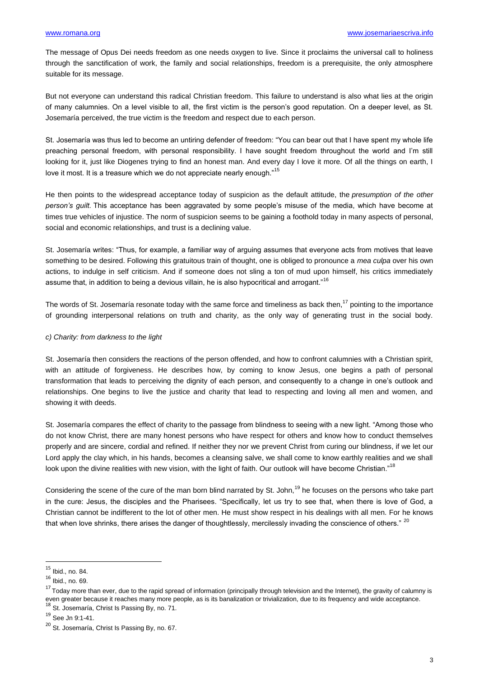The message of Opus Dei needs freedom as one needs oxygen to live. Since it proclaims the universal call to holiness through the sanctification of work, the family and social relationships, freedom is a prerequisite, the only atmosphere suitable for its message.

But not everyone can understand this radical Christian freedom. This failure to understand is also what lies at the origin of many calumnies. On a level visible to all, the first victim is the person's good reputation. On a deeper level, as St. Josemaría perceived, the true victim is the freedom and respect due to each person.

St. Josemaría was thus led to become an untiring defender of freedom: "You can bear out that I have spent my whole life preaching personal freedom, with personal responsibility. I have sought freedom throughout the world and I'm still looking for it, just like Diogenes trying to find an honest man. And every day I love it more. Of all the things on earth, I love it most. It is a treasure which we do not appreciate nearly enough."<sup>15</sup>

He then points to the widespread acceptance today of suspicion as the default attitude, the *presumption of the other person's guilt.* This acceptance has been aggravated by some people's misuse of the media, which have become at times true vehicles of injustice. The norm of suspicion seems to be gaining a foothold today in many aspects of personal, social and economic relationships, and trust is a declining value.

St. Josemaría writes: "Thus, for example, a familiar way of arguing assumes that everyone acts from motives that leave something to be desired. Following this gratuitous train of thought, one is obliged to pronounce a *mea culpa* over his own actions, to indulge in self criticism. And if someone does not sling a ton of mud upon himself, his critics immediately assume that, in addition to being a devious villain, he is also hypocritical and arrogant."<sup>16</sup>

The words of St. Josemaría resonate today with the same force and timeliness as back then,<sup>17</sup> pointing to the importance of grounding interpersonal relations on truth and charity, as the only way of generating trust in the social body.

### *c) Charity: from darkness to the light*

St. Josemaría then considers the reactions of the person offended, and how to confront calumnies with a Christian spirit, with an attitude of forgiveness. He describes how, by coming to know Jesus, one begins a path of personal transformation that leads to perceiving the dignity of each person, and consequently to a change in one's outlook and relationships. One begins to live the justice and charity that lead to respecting and loving all men and women, and showing it with deeds.

St. Josemaría compares the effect of charity to the passage from blindness to seeing with a new light. "Among those who do not know Christ, there are many honest persons who have respect for others and know how to conduct themselves properly and are sincere, cordial and refined. If neither they nor we prevent Christ from curing our blindness, if we let our Lord apply the clay which, in his hands, becomes a cleansing salve, we shall come to know earthly realities and we shall look upon the divine realities with new vision, with the light of faith. Our outlook will have become Christian."<sup>18</sup>

Considering the scene of the cure of the man born blind narrated by St. John.<sup>19</sup> he focuses on the persons who take part in the cure: Jesus, the disciples and the Pharisees. "Specifically, let us try to see that, when there is love of God, a Christian cannot be indifferent to the lot of other men. He must show respect in his dealings with all men. For he knows that when love shrinks, there arises the danger of thoughtlessly, mercilessly invading the conscience of others." <sup>20</sup>

**.** 

 $15$  Ibid., no. 84.

 $16$  Ibid., no. 69.

<sup>&</sup>lt;sup>17</sup> Today more than ever, due to the rapid spread of information (principally through television and the Internet), the gravity of calumny is even greater because it reaches many more people, as is its banalization or trivialization, due to its frequency and wide acceptance. 18 St. Josemaría, Christ Is Passing By, no. 71.

<sup>19</sup> See Jn 9:1-41.

<sup>&</sup>lt;sup>20</sup> St. Josemaría, Christ Is Passing By, no. 67.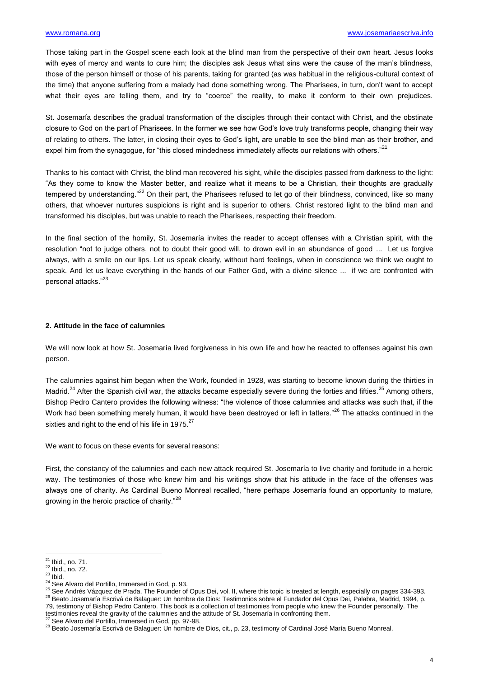Those taking part in the Gospel scene each look at the blind man from the perspective of their own heart. Jesus looks with eyes of mercy and wants to cure him; the disciples ask Jesus what sins were the cause of the man's blindness, those of the person himself or those of his parents, taking for granted (as was habitual in the religious-cultural context of the time) that anyone suffering from a malady had done something wrong. The Pharisees, in turn, don't want to accept what their eyes are telling them, and try to "coerce" the reality, to make it conform to their own prejudices.

St. Josemaría describes the gradual transformation of the disciples through their contact with Christ, and the obstinate closure to God on the part of Pharisees. In the former we see how God's love truly transforms people, changing their way of relating to others. The latter, in closing their eyes to God's light, are unable to see the blind man as their brother, and expel him from the synagogue, for "this closed mindedness immediately affects our relations with others."<sup>21</sup>

Thanks to his contact with Christ, the blind man recovered his sight, while the disciples passed from darkness to the light: "As they come to know the Master better, and realize what it means to be a Christian, their thoughts are gradually tempered by understanding."<sup>22</sup> On their part, the Pharisees refused to let go of their blindness, convinced, like so many others, that whoever nurtures suspicions is right and is superior to others. Christ restored light to the blind man and transformed his disciples, but was unable to reach the Pharisees, respecting their freedom.

In the final section of the homily, St. Josemaría invites the reader to accept offenses with a Christian spirit, with the resolution "not to judge others, not to doubt their good will, to drown evil in an abundance of good ... Let us forgive always, with a smile on our lips. Let us speak clearly, without hard feelings, when in conscience we think we ought to speak. And let us leave everything in the hands of our Father God, with a divine silence ... if we are confronted with personal attacks."<sup>23</sup>

#### **2. Attitude in the face of calumnies**

We will now look at how St. Josemaría lived forgiveness in his own life and how he reacted to offenses against his own person.

The calumnies against him began when the Work, founded in 1928, was starting to become known during the thirties in Madrid.<sup>24</sup> After the Spanish civil war, the attacks became especially severe during the forties and fifties.<sup>25</sup> Among others, Bishop Pedro Cantero provides the following witness: "the violence of those calumnies and attacks was such that, if the Work had been something merely human, it would have been destroyed or left in tatters."<sup>26</sup> The attacks continued in the sixties and right to the end of his life in 1975.<sup>27</sup>

We want to focus on these events for several reasons:

First, the constancy of the calumnies and each new attack required St. Josemaría to live charity and fortitude in a heroic way. The testimonies of those who knew him and his writings show that his attitude in the face of the offenses was always one of charity. As Cardinal Bueno Monreal recalled, "here perhaps Josemaría found an opportunity to mature, growing in the heroic practice of charity."<sup>28</sup>

**.** 

 $^{21}$  Ibid., no. 71.

 $^{22}$  Ibid., no. 72.

 $23$  Ibid.

<sup>&</sup>lt;sup>24</sup> See Alvaro del Portillo, Immersed in God, p. 93.

<sup>25</sup> See Andrés Vázquez de Prada, The Founder of Opus Dei, vol. II, where this topic is treated at length, especially on pages 334-393. <sup>26</sup> Beato Josemaría Escrivá de Balaguer: Un hombre de Dios: Testimonios sobre el Fundador del Opus Dei, Palabra, Madrid, 1994, p. 79, testimony of Bishop Pedro Cantero. This book is a collection of testimonies from people who knew the Founder personally. The testimonies reveal the gravity of the calumnies and the attitude of St. Josemaría in confronting them.

See Alvaro del Portillo, Immersed in God, pp. 97-98.

<sup>&</sup>lt;sup>28</sup> Beato Josemaría Escrivá de Balaguer: Un hombre de Dios, cit., p. 23, testimony of Cardinal José María Bueno Monreal.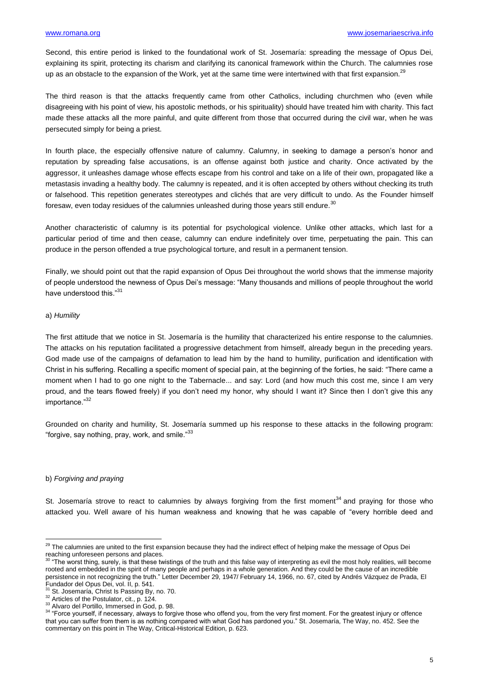Second, this entire period is linked to the foundational work of St. Josemaría: spreading the message of Opus Dei, explaining its spirit, protecting its charism and clarifying its canonical framework within the Church. The calumnies rose up as an obstacle to the expansion of the Work, yet at the same time were intertwined with that first expansion.<sup>29</sup>

The third reason is that the attacks frequently came from other Catholics, including churchmen who (even while disagreeing with his point of view, his apostolic methods, or his spirituality) should have treated him with charity. This fact made these attacks all the more painful, and quite different from those that occurred during the civil war, when he was persecuted simply for being a priest.

In fourth place, the especially offensive nature of calumny. Calumny, in seeking to damage a person's honor and reputation by spreading false accusations, is an offense against both justice and charity. Once activated by the aggressor, it unleashes damage whose effects escape from his control and take on a life of their own, propagated like a metastasis invading a healthy body. The calumny is repeated, and it is often accepted by others without checking its truth or falsehood. This repetition generates stereotypes and clichés that are very difficult to undo. As the Founder himself foresaw, even today residues of the calumnies unleashed during those years still endure. $30$ 

Another characteristic of calumny is its potential for psychological violence. Unlike other attacks, which last for a particular period of time and then cease, calumny can endure indefinitely over time, perpetuating the pain. This can produce in the person offended a true psychological torture, and result in a permanent tension.

Finally, we should point out that the rapid expansion of Opus Dei throughout the world shows that the immense majority of people understood the newness of Opus Dei's message: "Many thousands and millions of people throughout the world have understood this."31

#### a) *Humility*

The first attitude that we notice in St. Josemaría is the humility that characterized his entire response to the calumnies. The attacks on his reputation facilitated a progressive detachment from himself, already begun in the preceding years. God made use of the campaigns of defamation to lead him by the hand to humility, purification and identification with Christ in his suffering. Recalling a specific moment of special pain, at the beginning of the forties, he said: "There came a moment when I had to go one night to the Tabernacle... and say: Lord (and how much this cost me, since I am very proud, and the tears flowed freely) if you don't need my honor, why should I want it? Since then I don't give this any importance."<sup>32</sup>

Grounded on charity and humility, St. Josemaría summed up his response to these attacks in the following program: "forgive, say nothing, pray, work, and smile."<sup>33</sup>

### b) *Forgiving and praying*

**.** 

St. Josemaría strove to react to calumnies by always forgiving from the first moment<sup>34</sup> and praying for those who attacked you. Well aware of his human weakness and knowing that he was capable of "every horrible deed and

 $^{29}$  The calumnies are united to the first expansion because they had the indirect effect of helping make the message of Opus Dei reaching unforeseen persons and places.

<sup>30</sup> "The worst thing, surely, is that these twistings of the truth and this false way of interpreting as evil the most holy realities, will become rooted and embedded in the spirit of many people and perhaps in a whole generation. And they could be the cause of an incredible persistence in not recognizing the truth." Letter December 29, 1947/ February 14, 1966, no. 67, cited by Andrés Vázquez de Prada, El Fundador del Opus Dei, vol. II, p. 541.

St. Josemaría, Christ Is Passing By, no. 70.

<sup>&</sup>lt;sup>32</sup> Articles of the Postulator, cit., p. 124.

<sup>&</sup>lt;sup>33</sup> Alvaro del Portillo, Immersed in God, p. 98.

<sup>&</sup>lt;sup>34</sup> "Force yourself, if necessary, always to forgive those who offend you, from the very first moment. For the greatest injury or offence that you can suffer from them is as nothing compared with what God has pardoned you." St. Josemaría, The Way, no. 452. See the commentary on this point in The Way, Critical-Historical Edition, p. 623.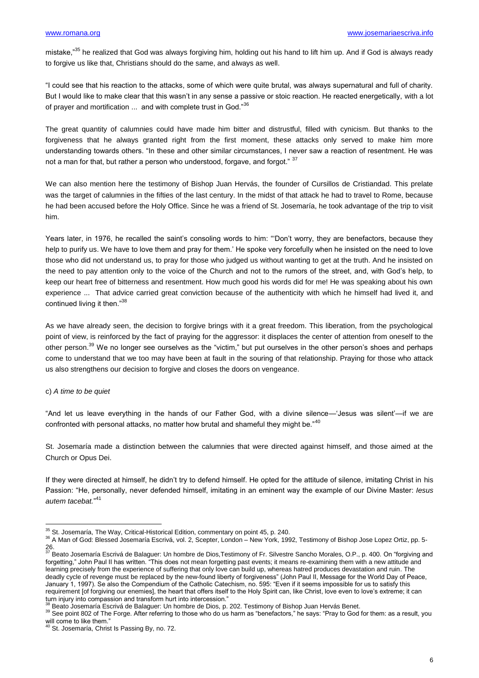mistake,<sup>35</sup> he realized that God was always forgiving him, holding out his hand to lift him up. And if God is always ready to forgive us like that, Christians should do the same, and always as well.

"I could see that his reaction to the attacks, some of which were quite brutal, was always supernatural and full of charity. But I would like to make clear that this wasn't in any sense a passive or stoic reaction. He reacted energetically, with a lot of prayer and mortification ... and with complete trust in God."<sup>36</sup>

The great quantity of calumnies could have made him bitter and distrustful, filled with cynicism. But thanks to the forgiveness that he always granted right from the first moment, these attacks only served to make him more understanding towards others. "In these and other similar circumstances, I never saw a reaction of resentment. He was not a man for that, but rather a person who understood, forgave, and forgot." 37

We can also mention here the testimony of Bishop Juan Hervás, the founder of Cursillos de Cristiandad. This prelate was the target of calumnies in the fifties of the last century. In the midst of that attack he had to travel to Rome, because he had been accused before the Holy Office. Since he was a friend of St. Josemaría, he took advantage of the trip to visit him.

Years later, in 1976, he recalled the saint's consoling words to him: "Don't worry, they are benefactors, because they help to purify us. We have to love them and pray for them.' He spoke very forcefully when he insisted on the need to love those who did not understand us, to pray for those who judged us without wanting to get at the truth. And he insisted on the need to pay attention only to the voice of the Church and not to the rumors of the street, and, with God's help, to keep our heart free of bitterness and resentment. How much good his words did for me! He was speaking about his own experience ... That advice carried great conviction because of the authenticity with which he himself had lived it, and continued living it then."<sup>38</sup>

As we have already seen, the decision to forgive brings with it a great freedom. This liberation, from the psychological point of view, is reinforced by the fact of praying for the aggressor: it displaces the center of attention from oneself to the other person.<sup>39</sup> We no longer see ourselves as the "victim," but put ourselves in the other person's shoes and perhaps come to understand that we too may have been at fault in the souring of that relationship. Praying for those who attack us also strengthens our decision to forgive and closes the doors on vengeance.

#### c) *A time to be quiet*

"And let us leave everything in the hands of our Father God, with a divine silence—'Jesus was silent'—if we are confronted with personal attacks, no matter how brutal and shameful they might be."<sup>40</sup>

St. Josemaría made a distinction between the calumnies that were directed against himself, and those aimed at the Church or Opus Dei.

If they were directed at himself, he didn't try to defend himself. He opted for the attitude of silence, imitating Christ in his Passion: "He, personally, never defended himself, imitating in an eminent way the example of our Divine Master: *Iesus autem tacebat.*" 41

 $\overline{a}$  $35$  St. Josemaría, The Way, Critical-Historical Edition, commentary on point 45, p. 240.

<sup>36</sup> A Man of God: Blessed Josemaría Escrivá, vol. 2, Scepter, London – New York, 1992, Testimony of Bishop Jose Lopez Ortiz, pp. 5-

<sup>26.&</sup>lt;br><sup>37</sup> Beato Josemaría Escrivá de Balaguer: Un hombre de Dios,Testimony of Fr. Silvestre Sancho Morales, O.P., p. 400. On "forgiving and forgetting," John Paul II has written. "This does not mean forgetting past events; it means re-examining them with a new attitude and learning precisely from the experience of suffering that only love can build up, whereas hatred produces devastation and ruin. The deadly cycle of revenge must be replaced by the new-found liberty of forgiveness" (John Paul II, Message for the World Day of Peace, January 1, 1997). Se also the Compendium of the Catholic Catechism, no. 595: "Even if it seems impossible for us to satisfy this requirement [of forgiving our enemies], the heart that offers itself to the Holy Spirit can, like Christ, love even to love's extreme; it can turn injury into compassion and transform hurt into intercession."

Beato Josemaría Escrivá de Balaguer: Un hombre de Dios, p. 202. Testimony of Bishop Juan Hervás Benet.

<sup>&</sup>lt;sup>39</sup> See point 802 of The Forge. After referring to those who do us harm as "benefactors," he says: "Pray to God for them: as a result, you will come to like them."

<sup>&</sup>lt;sup>40</sup> St. Josemaría, Christ Is Passing By, no. 72.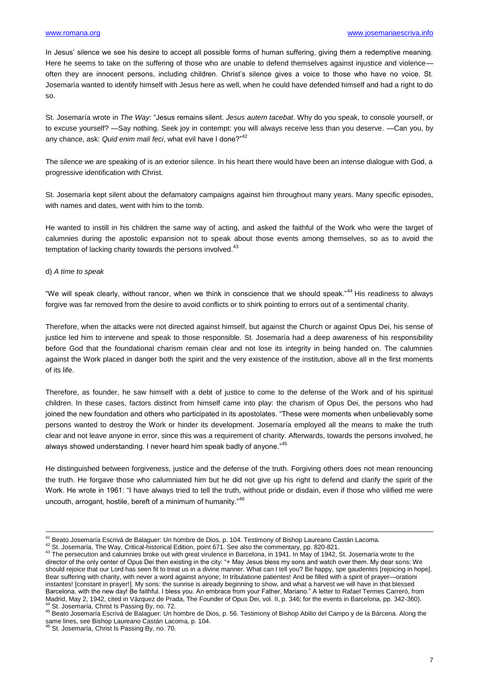In Jesus' silence we see his desire to accept all possible forms of human suffering, giving them a redemptive meaning. Here he seems to take on the suffering of those who are unable to defend themselves against injustice and violence often they are innocent persons, including children. Christ's silence gives a voice to those who have no voice. St. Josemaría wanted to identify himself with Jesus here as well, when he could have defended himself and had a right to do so.

St. Josemaría wrote in *The Way*: "Jesus remains silent. *Jesus autem tacebat*. Why do you speak, to console yourself, or to excuse yourself? —Say nothing. Seek joy in contempt: you will always receive less than you deserve. —Can you, by any chance, ask: Quid enim mali feci, what evil have I done?"<sup>42</sup>

The silence we are speaking of is an exterior silence. In his heart there would have been an intense dialogue with God, a progressive identification with Christ.

St. Josemaría kept silent about the defamatory campaigns against him throughout many years. Many specific episodes, with names and dates, went with him to the tomb.

He wanted to instill in his children the same way of acting, and asked the faithful of the Work who were the target of calumnies during the apostolic expansion not to speak about those events among themselves, so as to avoid the temptation of lacking charity towards the persons involved.<sup>43</sup>

#### d) *A time to speak*

1

"We will speak clearly, without rancor, when we think in conscience that we should speak."<sup>44</sup> His readiness to always forgive was far removed from the desire to avoid conflicts or to shirk pointing to errors out of a sentimental charity.

Therefore, when the attacks were not directed against himself, but against the Church or against Opus Dei, his sense of justice led him to intervene and speak to those responsible. St. Josemaría had a deep awareness of his responsibility before God that the foundational charism remain clear and not lose its integrity in being handed on. The calumnies against the Work placed in danger both the spirit and the very existence of the institution, above all in the first moments of its life.

Therefore, as founder, he saw himself with a debt of justice to come to the defense of the Work and of his spiritual children. In these cases, factors distinct from himself came into play: the charism of Opus Dei, the persons who had joined the new foundation and others who participated in its apostolates. "These were moments when unbelievably some persons wanted to destroy the Work or hinder its development. Josemaría employed all the means to make the truth clear and not leave anyone in error, since this was a requirement of charity. Afterwards, towards the persons involved, he always showed understanding. I never heard him speak badly of anyone."45

He distinguished between forgiveness, justice and the defense of the truth. Forgiving others does not mean renouncing the truth. He forgave those who calumniated him but he did not give up his right to defend and clarify the spirit of the Work. He wrote in 1961: "I have always tried to tell the truth, without pride or disdain, even if those who vilified me were uncouth, arrogant, hostile, bereft of a minimum of humanity."<sup>46</sup>

<sup>&</sup>lt;sup>41</sup> Beato Josemaría Escrivá de Balaguer: Un hombre de Dios, p. 104. Testimony of Bishop Laureano Castán Lacoma.

<sup>42</sup> St. Josemaría, The Way, Critical-historical Edition, point 671. See also the commentary, pp. 820-821.

<sup>43</sup> The persecution and calumnies broke out with great virulence in Barcelona, in 1941. In May of 1942, St. Josemaría wrote to the director of the only center of Opus Dei then existing in the city: "+ May Jesus bless my sons and watch over them. My dear sons: We should rejoice that our Lord has seen fit to treat us in a divine manner. What can I tell you? Be happy, spe gaudentes [rejoicing in hope]. Bear suffering with charity, with never a word against anyone; In tribulatione patientes! And be filled with a spirit of prayer—orationi instantes! [constant in prayer!]. My sons: the sunrise is already beginning to show, and what a harvest we will have in that blessed Barcelona, with the new day! Be faithful. I bless you. An embrace from your Father, Mariano." A letter to Rafael Termes Carreró, from Madrid, May 2, 1942, cited in Vázquez de Prada, The Founder of Opus Dei, vol. II, p. 346; for the events in Barcelona, pp. 342-360). St. Josemaría, Christ Is Passing By, no. 72.

<sup>45</sup> Beato Josemaría Escrivá de Balaguer: Un hombre de Dios, p. 56. Testimony of Bishop Abilio del Campo y de la Bárcena. Along the same lines, see Bishop Laureano Castán Lacoma, p. 104.

St. Josemaría, Christ Is Passing By, no. 70.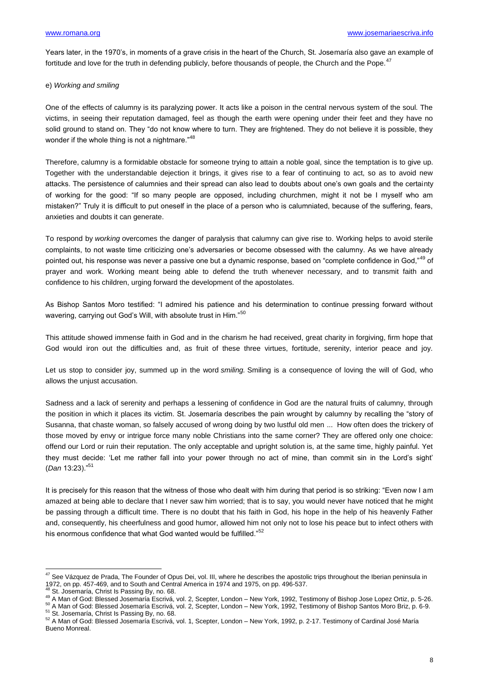Years later, in the 1970's, in moments of a grave crisis in the heart of the Church, St. Josemaría also gave an example of fortitude and love for the truth in defending publicly, before thousands of people, the Church and the Pope.<sup>47</sup>

### e) *Working and smiling*

One of the effects of calumny is its paralyzing power. It acts like a poison in the central nervous system of the soul. The victims, in seeing their reputation damaged, feel as though the earth were opening under their feet and they have no solid ground to stand on. They "do not know where to turn. They are frightened. They do not believe it is possible, they wonder if the whole thing is not a nightmare."<sup>48</sup>

Therefore, calumny is a formidable obstacle for someone trying to attain a noble goal, since the temptation is to give up. Together with the understandable dejection it brings, it gives rise to a fear of continuing to act, so as to avoid new attacks. The persistence of calumnies and their spread can also lead to doubts about one's own goals and the certainty of working for the good: "If so many people are opposed, including churchmen, might it not be I myself who am mistaken?" Truly it is difficult to put oneself in the place of a person who is calumniated, because of the suffering, fears, anxieties and doubts it can generate.

To respond by *working* overcomes the danger of paralysis that calumny can give rise to. Working helps to avoid sterile complaints, to not waste time criticizing one's adversaries or become obsessed with the calumny. As we have already pointed out, his response was never a passive one but a dynamic response, based on "complete confidence in God,"<sup>49</sup> of prayer and work. Working meant being able to defend the truth whenever necessary, and to transmit faith and confidence to his children, urging forward the development of the apostolates.

As Bishop Santos Moro testified: "I admired his patience and his determination to continue pressing forward without wavering, carrying out God's Will, with absolute trust in Him."<sup>50</sup>

This attitude showed immense faith in God and in the charism he had received, great charity in forgiving, firm hope that God would iron out the difficulties and, as fruit of these three virtues, fortitude, serenity, interior peace and joy.

Let us stop to consider joy, summed up in the word *smiling.* Smiling is a consequence of loving the will of God, who allows the unjust accusation.

Sadness and a lack of serenity and perhaps a lessening of confidence in God are the natural fruits of calumny, through the position in which it places its victim. St. Josemaría describes the pain wrought by calumny by recalling the "story of Susanna, that chaste woman, so falsely accused of wrong doing by two lustful old men ... How often does the trickery of those moved by envy or intrigue force many noble Christians into the same corner? They are offered only one choice: offend our Lord or ruin their reputation. The only acceptable and upright solution is, at the same time, highly painful. Yet they must decide: 'Let me rather fall into your power through no act of mine, than commit sin in the Lord's sight' (*Dan* 13:23)."<sup>51</sup>

It is precisely for this reason that the witness of those who dealt with him during that period is so striking: "Even now I am amazed at being able to declare that I never saw him worried; that is to say, you would never have noticed that he might be passing through a difficult time. There is no doubt that his faith in God, his hope in the help of his heavenly Father and, consequently, his cheerfulness and good humor, allowed him not only not to lose his peace but to infect others with his enormous confidence that what God wanted would be fulfilled."<sup>52</sup>

**<sup>.</sup>**  $^{47}$  See Vázquez de Prada, The Founder of Opus Dei, vol. III, where he describes the apostolic trips throughout the Iberian peninsula in 1972, on pp. 457-469, and to South and Central America in 1974 and 1975, on pp. 496-537.

St. Josemaría, Christ Is Passing By, no. 68.

<sup>49</sup> A Man of God: Blessed Josemaría Escrivá, vol. 2, Scepter, London – New York, 1992, Testimony of Bishop Jose Lopez Ortiz, p. 5-26. <sup>50</sup> A Man of God: Blessed Josemaría Escrivá, vol. 2, Scepter, London – New York, 1992, Testimony of Bishop Santos Moro Briz, p. 6-9.

<sup>&</sup>lt;sup>51</sup> St. Josemaría, Christ Is Passing By, no. 68.

<sup>52</sup> A Man of God: Blessed Josemaría Escrivá, vol. 1, Scepter, London – New York, 1992, p. 2-17. Testimony of Cardinal José María Bueno Monreal.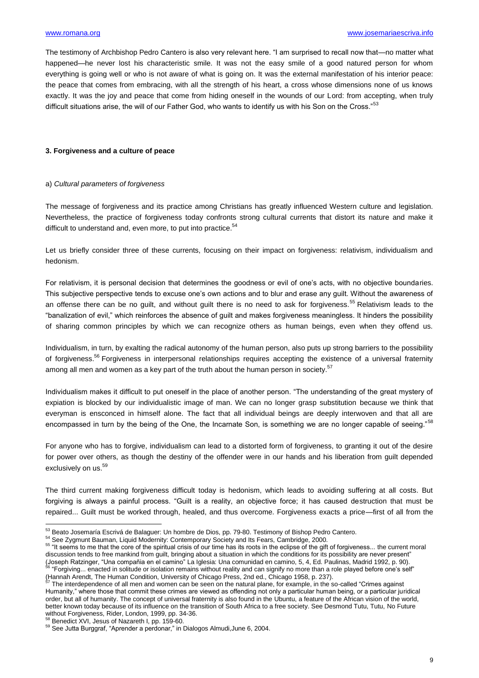The testimony of Archbishop Pedro Cantero is also very relevant here. "I am surprised to recall now that—no matter what happened—he never lost his characteristic smile. It was not the easy smile of a good natured person for whom everything is going well or who is not aware of what is going on. It was the external manifestation of his interior peace: the peace that comes from embracing, with all the strength of his heart, a cross whose dimensions none of us knows exactly. It was the joy and peace that come from hiding oneself in the wounds of our Lord: from accepting, when truly difficult situations arise, the will of our Father God, who wants to identify us with his Son on the Cross."<sup>53</sup>

### **3. Forgiveness and a culture of peace**

#### a) *Cultural parameters of forgiveness*

The message of forgiveness and its practice among Christians has greatly influenced Western culture and legislation. Nevertheless, the practice of forgiveness today confronts strong cultural currents that distort its nature and make it difficult to understand and, even more, to put into practice.<sup>54</sup>

Let us briefly consider three of these currents, focusing on their impact on forgiveness: relativism, individualism and hedonism.

For relativism, it is personal decision that determines the goodness or evil of one's acts, with no objective boundaries. This subjective perspective tends to excuse one's own actions and to blur and erase any guilt. Without the awareness of an offense there can be no guilt, and without guilt there is no need to ask for forgiveness.<sup>55</sup> Relativism leads to the "banalization of evil," which reinforces the absence of guilt and makes forgiveness meaningless. It hinders the possibility of sharing common principles by which we can recognize others as human beings, even when they offend us.

Individualism, in turn, by exalting the radical autonomy of the human person, also puts up strong barriers to the possibility of forgiveness.<sup>56</sup> Forgiveness in interpersonal relationships requires accepting the existence of a universal fraternity among all men and women as a key part of the truth about the human person in society.<sup>57</sup>

Individualism makes it difficult to put oneself in the place of another person. "The understanding of the great mystery of expiation is blocked by our individualistic image of man. We can no longer grasp substitution because we think that everyman is ensconced in himself alone. The fact that all individual beings are deeply interwoven and that all are encompassed in turn by the being of the One, the Incarnate Son, is something we are no longer capable of seeing."<sup>58</sup>

For anyone who has to forgive, individualism can lead to a distorted form of forgiveness, to granting it out of the desire for power over others, as though the destiny of the offender were in our hands and his liberation from guilt depended exclusively on us.<sup>59</sup>

The third current making forgiveness difficult today is hedonism, which leads to avoiding suffering at all costs. But forgiving is always a painful process. "Guilt is a reality, an objective force; it has caused destruction that must be repaired... Guilt must be worked through, healed, and thus overcome. Forgiveness exacts a price—first of all from the

(Hannah Arendt, The Human Condition, University of Chicago Press, 2nd ed., Chicago 1958, p. 237).

<sup>8</sup> Benedict XVI, Jesus of Nazareth I, pp. 159-60.

 $\overline{a}$ 

<sup>53</sup> Beato Josemaría Escrivá de Balaguer: Un hombre de Dios, pp. 79-80. Testimony of Bishop Pedro Cantero.

<sup>54</sup> See Zygmunt Bauman, Liquid Modernity: Contemporary Society and Its Fears, Cambridge, 2000.

<sup>&</sup>lt;sup>55</sup> "It seems to me that the core of the spiritual crisis of our time has its roots in the eclipse of the gift of forgiveness... the current moral discussion tends to free mankind from quilt, bringing about a situation in which the conditions for its possibility are never present" (Joseph Ratzinger, "Una compañia en el camino" La Iglesia: Una comunidad en camino, 5, 4, Ed. Paulinas, Madrid 1992, p. 90). <sup>56</sup> "Forgiving... enacted in solitude or isolation remains without reality and can signify no more than a role played before one's self"

The interdependence of all men and women can be seen on the natural plane, for example, in the so-called "Crimes against Humanity," where those that commit these crimes are viewed as offending not only a particular human being, or a particular juridical order, but all of humanity. The concept of universal fraternity is also found in the Ubuntu, a feature of the African vision of the world, better known today because of its influence on the transition of South Africa to a free society. See Desmond Tutu, Tutu, No Future without Forgiveness, Rider, London, 1999, pp. 34-36.

<sup>59</sup> See Jutta Burggraf, "Aprender a perdonar," in Dialogos Almudi,June 6, 2004.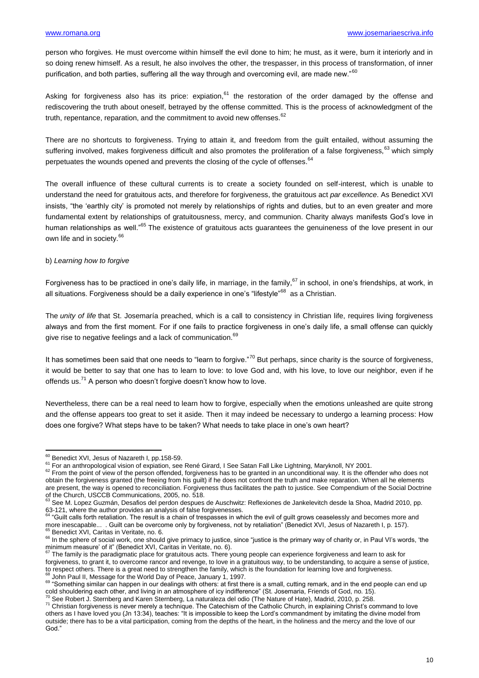person who forgives. He must overcome within himself the evil done to him; he must, as it were, burn it interiorly and in so doing renew himself. As a result, he also involves the other, the trespasser, in this process of transformation, of inner purification, and both parties, suffering all the way through and overcoming evil, are made new."<sup>60</sup>

Asking for forgiveness also has its price: expiation, $61$  the restoration of the order damaged by the offense and rediscovering the truth about oneself, betrayed by the offense committed. This is the process of acknowledgment of the truth, repentance, reparation, and the commitment to avoid new offenses.  $62$ 

There are no shortcuts to forgiveness. Trying to attain it, and freedom from the guilt entailed, without assuming the suffering involved, makes forgiveness difficult and also promotes the proliferation of a false forgiveness, <sup>63</sup> which simply perpetuates the wounds opened and prevents the closing of the cycle of offenses.<sup>64</sup>

The overall influence of these cultural currents is to create a society founded on self-interest, which is unable to understand the need for gratuitous acts, and therefore for forgiveness, the gratuitous act *par excellence*. As Benedict XVI insists, "the 'earthly city' is promoted not merely by relationships of rights and duties, but to an even greater and more fundamental extent by relationships of gratuitousness, mercy, and communion. Charity always manifests God's love in human relationships as well.<sup>"65</sup> The existence of gratuitous acts guarantees the genuineness of the love present in our own life and in society.<sup>66</sup>

#### b) *Learning how to forgive*

Forgiveness has to be practiced in one's daily life, in marriage, in the family,  $67$  in school, in one's friendships, at work, in all situations. Forgiveness should be a daily experience in one's "lifestyle"<sup>68</sup> as a Christian.

The *unity of life* that St. Josemaría preached, which is a call to consistency in Christian life, requires living forgiveness always and from the first moment. For if one fails to practice forgiveness in one's daily life, a small offense can quickly give rise to negative feelings and a lack of communication.<sup>69</sup>

It has sometimes been said that one needs to "learn to forgive."<sup>70</sup> But perhaps, since charity is the source of forgiveness, it would be better to say that one has to learn to love: to love God and, with his love, to love our neighbor, even if he offends us.<sup>71</sup> A person who doesn't forgive doesn't know how to love.

Nevertheless, there can be a real need to learn how to forgive, especially when the emotions unleashed are quite strong and the offense appears too great to set it aside. Then it may indeed be necessary to undergo a learning process: How does one forgive? What steps have to be taken? What needs to take place in one's own heart?

1

<sup>&</sup>lt;sup>60</sup> Benedict XVI, Jesus of Nazareth I, pp.158-59.

<sup>&</sup>lt;sup>61</sup> For an anthropological vision of expiation, see René Girard, I See Satan Fall Like Lightning, Maryknoll, NY 2001.

 $62$  From the point of view of the person offended, forgiveness has to be granted in an unconditional way. It is the offender who does not obtain the forgiveness granted (the freeing from his guilt) if he does not confront the truth and make reparation. When all he elements are present, the way is opened to reconciliation. Forgiveness thus facilitates the path to justice. See Compendium of the Social Doctrine

of the Church, USCCB Communications, 2005, no. 518.<br><sup>63</sup> See M. Lopez Guzmán, Desafios del perdon despues de Auschwitz: Reflexiones de Jankelevitch desde la Shoa, Madrid 2010, pp.

<sup>63-121,</sup> where the author provides an analysis of false forgivenesses.<br><sup>64</sup> "Guilt calls forth retaliation. The result is a chain of trespasses in which the evil of guilt grows ceaselessly and becomes more and more inescapable... . Guilt can be overcome only by forgiveness, not by retaliation" (Benedict XVI, Jesus of Nazareth I, p. 157).<br><sup>65</sup> Benedict XVI, Caritas in Veritate, no. 6.

<sup>&</sup>lt;sup>66</sup> In the sphere of social work, one should give primacy to justice, since "justice is the primary way of charity or, in Paul VI's words, 'the minimum measure' of it" (Benedict XVI, Caritas in Veritate, no. 6).<br><sup>67</sup> The family is the paradigmatic place for gratuitous acts. There young people can experience forgiveness and learn to ask for

forgiveness, to grant it, to overcome rancor and revenge, to love in a gratuitous way, to be understanding, to acquire a sense of justice, to respect others. There is a great need to strengthen the family, which is the foundation for learning love and forgiveness. 68 John Paul II, Message for the World Day of Peace, January 1, 1997.

<sup>69 &</sup>quot;Something similar can happen in our dealings with others: at first there is a small, cutting remark, and in the end people can end up cold shouldering each other, and living in an atmosphere of icy indifference" (St. Josemaria, Friends of God, no. 15).

 $^{\circ}$  See Robert J. Sternberg and Karen Sternberg, La naturaleza del odio (The Nature of Hate), Madrid, 2010, p. 258. <sup>71</sup> Christian forgiveness is never merely a technique. The Catechism of the Catholic Church, in explaining Christ's command to love others as I have loved you (Jn 13:34), teaches: "It is impossible to keep the Lord's commandment by imitating the divine model from outside; there has to be a vital participation, coming from the depths of the heart, in the holiness and the mercy and the love of our God."